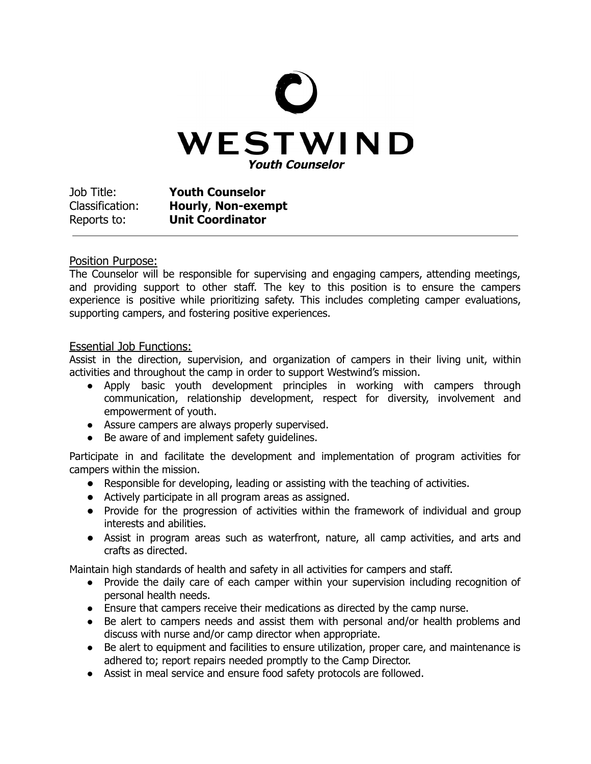

Job Title: **Youth Counselor** Classification: **Hourly**, **Non-exempt** Reports to: **Unit Coordinator**

## Position Purpose:

The Counselor will be responsible for supervising and engaging campers, attending meetings, and providing support to other staff. The key to this position is to ensure the campers experience is positive while prioritizing safety. This includes completing camper evaluations, supporting campers, and fostering positive experiences.

## Essential Job Functions:

Assist in the direction, supervision, and organization of campers in their living unit, within activities and throughout the camp in order to support Westwind's mission.

- Apply basic youth development principles in working with campers through communication, relationship development, respect for diversity, involvement and empowerment of youth.
- Assure campers are always properly supervised.
- Be aware of and implement safety quidelines.

Participate in and facilitate the development and implementation of program activities for campers within the mission.

- **●** Responsible for developing, leading or assisting with the teaching of activities.
- **●** Actively participate in all program areas as assigned.
- **●** Provide for the progression of activities within the framework of individual and group interests and abilities.
- **●** Assist in program areas such as waterfront, nature, all camp activities, and arts and crafts as directed.

Maintain high standards of health and safety in all activities for campers and staff.

- Provide the daily care of each camper within your supervision including recognition of personal health needs.
- Ensure that campers receive their medications as directed by the camp nurse.
- Be alert to campers needs and assist them with personal and/or health problems and discuss with nurse and/or camp director when appropriate.
- Be alert to equipment and facilities to ensure utilization, proper care, and maintenance is adhered to; report repairs needed promptly to the Camp Director.
- Assist in meal service and ensure food safety protocols are followed.